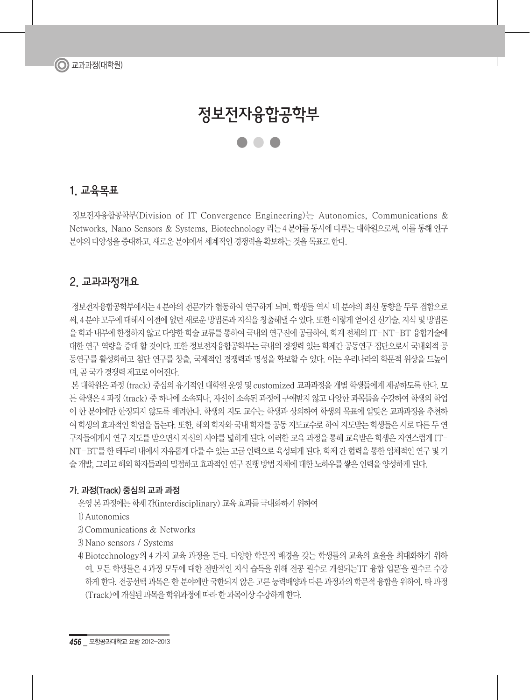# 정보전자융합공학부 ●●●

## 1. 교육목표

 정보전자융합공학부(Division of IT Convergence Engineering)는 Autonomics, Communications & Networks, Nano Sensors & Systems, Biotechnology 라는 4 분야를 동시에 다루는 대학원으로써, 이를 통해 연구 분야의 다양성을 증대하고, 새로운 분야에서 세계적인 경쟁력을 확보하는 것을 목표로 한다.

## 2. 교과과정개요

 정보전자융합공학부에서는 4 분야의 전문가가 협동하여 연구하게 되며, 학생들 역시 네 분야의 최신 동향을 두루 접함으로 써, 4 분야 모두에 대해서 이저에 없던 새로운 밧법론과 지식을 창출해낼 수 있다. 또한 이렇게 얻어진 신기술, 지식 및 밧법론 을 학과 내부에 한정하지 않고 다양한 학술 교류를 통하여 국내외 연구진에 공급하여, 학계 전체의 IT-NT-BT 융합기술에 대한 연구 역량을 증대 할 것이다. 또한 정보전자융합공학부는 국내의 경쟁력 있는 학제간 공동연구 집단으로서 국내외적 공 동연구를 활성화하고 첨단 연구를 창출, 국제적인 경쟁력과 명성을 확보할 수 있다. 이는 우리나라의 학문적 위상을 드높이 며, 곧 국가 경쟁력 제고로 이어진다.

 본 대학원은 과정 (track) 중심의 유기적인 대학원 운영 및 customized 교과과정을 개별 학생들에게 제공하도록 한다. 모 든 학생은 4 과정 (track) 중 하나에 소속되나, 자신이 소속된 과정에 구애받지 않고 다양한 과목들을 수강하여 학생의 학업 이 한 분야에만 한정되지 않도록 배려한다. 학생의 지도 교수는 학생과 상의하여 학생의 목표에 알맞은 교과과정을 추천하 여 학생의 효과적인 학업을 돕는다. 또한, 해외 학자와 국내 학자를 공동 지도교수로 하여 지도받는 학생들은 서로 다른 두 연 구자들에게서 연구 지도를 받으면서 자신의 시야를 넓히게 된다. 이러한 교육 과정을 통해 교육받은 학생은 자연스럽게 IT-NT-BT를 한 테두리 내에서 자유롭게 다룰 수 있는 고급 인력으로 육성되게 된다. 학제 간 협력을 통한 입체적인 연구 및 기 술 개발, 그리고 해외 학자들과의 밀접하고 효과적인 연구 진행 방법 자체에 대한 노하우를 쌓은 인력을 양성하게 된다.

#### 가. 과정(Track) 중심의 교과 과정

운영 본 과정에는 학제 간(interdisciplinary) 교육 효과를 극대화하기 위하여

1) Autonomics

2) Communications & Networks

3) Nano sensors / Systems

4) Biotechnology의 4 가지 교육 과정을 둔다. 다양한 학문적 배경을 갖는 학생들의 교육의 효율을 최대화하기 위하 여, 모든 학생들은 4 과정 모두에 대한 전반적인 지식 습득을 위해 전공 필수로 개설되는'IT 융합 입문'을 필수로 수강 하게 한다. 전공선택 과목은 한 분야에만 국한되지 않은 고른 능력배양과 다른 과정과의 학문적 융합을 위하여, 타 과정 (Track)에 개설된 과목을 학위과정에 따라 한 과목이상 수강하게 한다.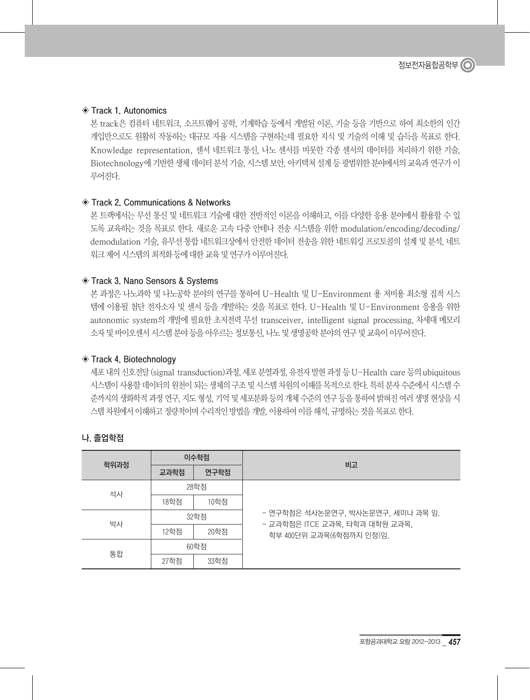#### ◈ Track 1. Autonomics

본 track은 컴퓨터 네트워크, 소프트웨어 공학, 기계학습 등에서 개발된 이론, 기술 등을 기반으로 하여 최소한의 인간 개입만으로도 원활히 작동하는 대규모 자율 시스템을 구현하는데 필요한 지식 및 기술의 이해 및 습득을 목표로 한다. Knowledge representation, 센서 네트워크 통신, 나노 센서를 비롯한 각종 센서의 데이터를 처리하기 위한 기술, Biotechnology에 기반한 생체 데이터 분석 기술, 시스템 보안, 아키텍처 설계 등 광범위한 분야에서의 교육과 연구가 이 루어진다.

#### ◈ Track 2. Communications & Networks

본 트랙에서는 무선 통신 및 네트워크 기술에 대한 전반적인 이론을 이해하고, 이를 다양한 응용 분야에서 활용할 수 있 도록 교육하는 것을 목표로 한다. 새로운 고속 다중 안테나 전송 시스템을 위한 modulation/encoding/decoding/ demodulation 기술, 유무선 통합 네트워크상에서 안전한 데이터 전송을 위한 네트워킹 프로토콜의 설계 및 분석, 네트 워크 제어 시스템의 최적화 등에 대한 교육 및 연구가 이루어진다.

#### ◈ Track 3. Nano Sensors & Systems

본 과정은 나노과학 및 나노공학 분야의 연구를 통하여 U-Health 및 U-Environment 용 저비용 최소형 집적 시스 템에 이용될 첨단 전자소자 및 센서 등을 개발하는 것을 목표로 한다. U-Health 및 U-Environment 응용을 위한 autonomic system의 개발에 필요한 초저전력 무선 transceiver, intelligent signal processing, 차세대 메모리 소자 및 바이오센서 시스템 분야 등을 아우르는 정보통신, 나노 및 생명공학 분야의 연구 및 교육이 이루어진다.

#### ◈ Track 4. Biotechnology

세포 내의 신호전달 (signal transduction)과정, 세포 분열과정, 유전자 발현 과정 등 U-Health care 등의 ubiquitous 시스템이 사용할 데이터의 원천이 되는 생체의 구조 및 시스템 차원의 이해를 목적으로 한다. 특히 분자 수준에서 시스템 수 준까지의 생화학적 과정 연구, 지도 형성, 기억 및 세포분화 등의 개체 수준의 연구 등을 통하여 밝혀진 여러 생명 현상을 시 스템 차원에서 이해하고 정량적이며 수리적인 방법을 개발, 이용하여 이를 해석, 규명하는 것을 목표로 한다.

#### 나. 졸업학점

|      | 이수학점 |      | 비고                                                         |  |
|------|------|------|------------------------------------------------------------|--|
| 학위과정 | 교과학점 | 연구학점 |                                                            |  |
| 석사   | 28학점 |      |                                                            |  |
|      | 18학점 | 10학점 |                                                            |  |
| 박사   | 32학점 |      | - 연구학점은 석사논문연구, 박사논문연구, 세미나 과목 임.                          |  |
|      | 12학점 | 20학점 | - 교과학점은 ITCE 교과목, 타학과 대학원 교과목,<br>학부 400단위 교과목(6학점까지 인정)임. |  |
|      |      | 60학점 |                                                            |  |
| 통합   | 27학점 | 33학점 |                                                            |  |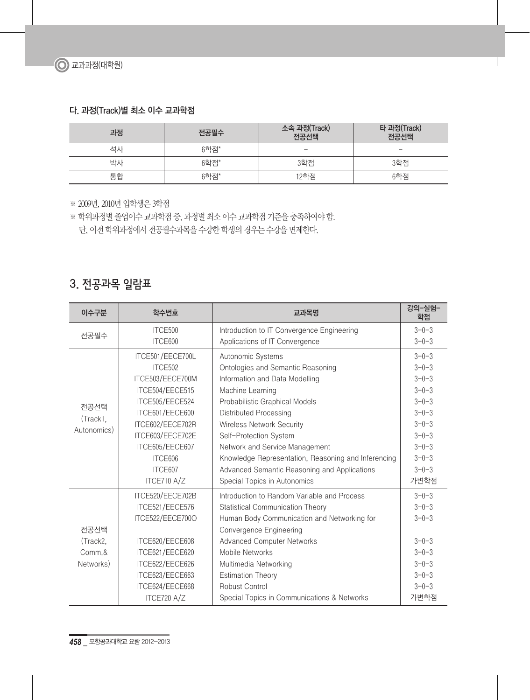### 다. 과정(Track)별 최소 이수 교과학점

| 과정 | 전공필수 | 소속 과정(Track)<br>전공선택     | 타 과정(Track)<br>전공선택      |
|----|------|--------------------------|--------------------------|
| 석사 | 6학점* | $\overline{\phantom{a}}$ | $\overline{\phantom{a}}$ |
| 박사 | 6학점* | 3학점                      | 3학점                      |
| 통합 | 6학점* | 12학점                     | 6학점                      |

※ 2009년, 2010년 입학생은 3학점

※ 학위과정별 졸업이수 교과학점 중, 과정별 최소 이수 교과학점 기준을 충족하여야 함. 단, 이전 학위과정에서 전공필수과목을 수강한 학생의 경우는 수강을 면제한다.

## 3. 전공과목 일람표

| 이수구분        | 학수번호             | 교과목명                                                | 강의-실험-<br>학점 |
|-------------|------------------|-----------------------------------------------------|--------------|
|             | ITCE500          | Introduction to IT Convergence Engineering          | $3 - 0 - 3$  |
| 전공필수        | ITCE600          | Applications of IT Convergence                      | $3 - 0 - 3$  |
|             | ITCE501/EECE700L | Autonomic Systems                                   | $3 - 0 - 3$  |
|             | ITCE502          | Ontologies and Semantic Reasoning                   | $3 - 0 - 3$  |
|             | ITCE503/EECE700M | Information and Data Modelling                      | $3 - 0 - 3$  |
|             | ITCE504/EECE515  | Machine Learning                                    | $3 - 0 - 3$  |
| 전공선택        | ITCE505/EECE524  | Probabilistic Graphical Models                      | $3 - 0 - 3$  |
| (Track1,    | ITCE601/EECE600  | <b>Distributed Processing</b>                       | $3 - 0 - 3$  |
| Autonomics) | ITCE602/EECE702R | <b>Wireless Network Security</b>                    | $3 - 0 - 3$  |
|             | ITCE603/EECE702E | Self-Protection System                              | $3 - 0 - 3$  |
|             | ITCE605/EECE607  | Network and Service Management                      | $3 - 0 - 3$  |
|             | ITCE606          | Knowledge Representation, Reasoning and Inferencing | $3 - 0 - 3$  |
|             | ITCE607          | Advanced Semantic Reasoning and Applications        | $3 - 0 - 3$  |
|             | ITCE710 A/Z      | Special Topics in Autonomics                        | 가변학점         |
|             | ITCE520/EECE702B | Introduction to Random Variable and Process         | $3 - 0 - 3$  |
|             | ITCE521/EECE576  | <b>Statistical Communication Theory</b>             | $3 - 0 - 3$  |
|             | ITCE522/EECE700O | Human Body Communication and Networking for         | $3 - 0 - 3$  |
| 전공선택        |                  | Convergence Engineering                             |              |
| (Track2,    | ITCE620/EECE608  | <b>Advanced Computer Networks</b>                   | $3 - 0 - 3$  |
| Comm.&      | ITCE621/EECE620  | Mobile Networks                                     | $3 - 0 - 3$  |
| Networks)   | ITCE622/EECE626  | Multimedia Networking                               | $3 - 0 - 3$  |
|             | ITCE623/EECE663  | <b>Estimation Theory</b>                            | $3 - 0 - 3$  |
|             | ITCE624/EECE668  | Robust Control                                      | $3 - 0 - 3$  |
|             | ITCE720 A/Z      | Special Topics in Communications & Networks         | 가변학점         |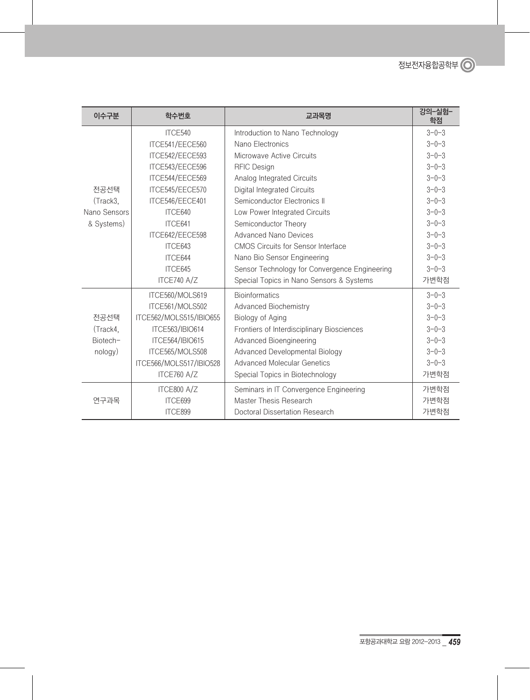| 이수구분         | 학수번호                    | 교과목명                                          | 강의-실험-<br>학점 |
|--------------|-------------------------|-----------------------------------------------|--------------|
|              | ITCE540                 | Introduction to Nano Technology               | $3 - 0 - 3$  |
|              | ITCE541/EECE560         | Nano Electronics                              | $3 - 0 - 3$  |
|              | ITCE542/EECE593         | Microwave Active Circuits                     | $3 - 0 - 3$  |
|              | ITCE543/EECE596         | <b>RFIC Design</b>                            | $3 - 0 - 3$  |
|              | ITCE544/EECE569         | Analog Integrated Circuits                    | $3 - 0 - 3$  |
| 전공선택         | ITCE545/EECE570         | Digital Integrated Circuits                   | $3 - 0 - 3$  |
| (Track3,     | ITCE546/EECE401         | Semiconductor Electronics II                  | $3 - 0 - 3$  |
| Nano Sensors | ITCE640                 | Low Power Integrated Circuits                 | $3 - 0 - 3$  |
| & Systems)   | ITCE641                 | Semiconductor Theory                          | $3 - 0 - 3$  |
|              | ITCE642/EECE598         | <b>Advanced Nano Devices</b>                  | $3 - 0 - 3$  |
|              | ITCE643                 | <b>CMOS Circuits for Sensor Interface</b>     | $3 - 0 - 3$  |
|              | ITCE644                 | Nano Bio Sensor Engineering                   | $3 - 0 - 3$  |
|              | ITCE645                 | Sensor Technology for Convergence Engineering | $3 - 0 - 3$  |
|              | ITCE740 A/Z             | Special Topics in Nano Sensors & Systems      | 가변학점         |
|              | ITCE560/MOLS619         | <b>Bioinformatics</b>                         | $3 - 0 - 3$  |
|              | ITCE561/MOLS502         | Advanced Biochemistry                         | $3 - 0 - 3$  |
| 전공선택         | ITCE562/MOLS515/IBIO655 | Biology of Aging                              | $3 - 0 - 3$  |
| (Track4,     | ITCE563/IBIO614         | Frontiers of Interdisciplinary Biosciences    | $3 - 0 - 3$  |
| Biotech-     | <b>ITCE564/IBIO615</b>  | Advanced Bioengineering                       | $3 - 0 - 3$  |
| nology)      | ITCE565/MOLS508         | Advanced Developmental Biology                | $3 - 0 - 3$  |
|              | ITCE566/MOLS517/IBIO528 | <b>Advanced Molecular Genetics</b>            | $3 - 0 - 3$  |
|              | ITCE760 A/Z             | Special Topics in Biotechnology               | 가변학점         |
|              | ITCE800 A/Z             | Seminars in IT Convergence Engineering        | 가변학점         |
| 연구과목         | ITCE699                 | Master Thesis Research                        | 가변학점         |
|              | ITCE899                 | Doctoral Dissertation Research                | 가변학점         |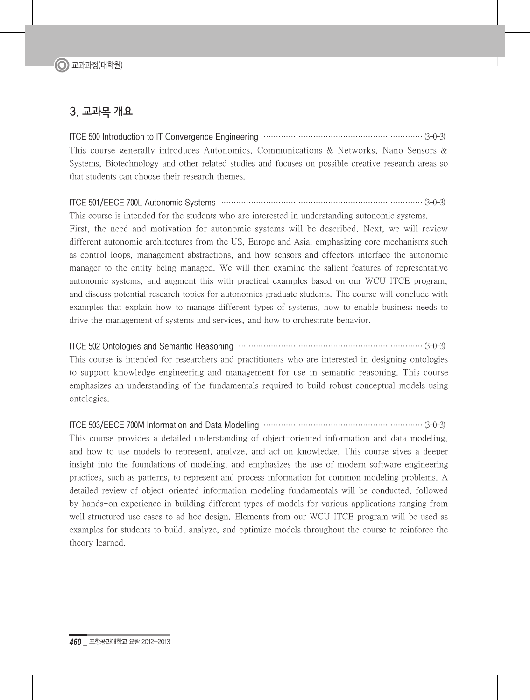## 3. 교과목 개요

ITCE 500 Introduction to IT Convergence Engineering ································································ (3-0-3) This course generally introduces Autonomics, Communications & Networks, Nano Sensors & Systems, Biotechnology and other related studies and focuses on possible creative research areas so that students can choose their research themes.

#### ITCE 501/EECE 700L Autonomic Systems ················································································· (3-0-3)

This course is intended for the students who are interested in understanding autonomic systems. First, the need and motivation for autonomic systems will be described. Next, we will review different autonomic architectures from the US, Europe and Asia, emphasizing core mechanisms such as control loops, management abstractions, and how sensors and effectors interface the autonomic manager to the entity being managed. We will then examine the salient features of representative autonomic systems, and augment this with practical examples based on our WCU ITCE program, and discuss potential research topics for autonomics graduate students. The course will conclude with examples that explain how to manage different types of systems, how to enable business needs to drive the management of systems and services, and how to orchestrate behavior.

ITCE 502 Ontologies and Semantic Reasoning ·········································································· (3-0-3) This course is intended for researchers and practitioners who are interested in designing ontologies to support knowledge engineering and management for use in semantic reasoning. This course emphasizes an understanding of the fundamentals required to build robust conceptual models using ontologies.

ITCE 503/EECE 700M Information and Data Modelling ································································ (3-0-3)

This course provides a detailed understanding of object-oriented information and data modeling, and how to use models to represent, analyze, and act on knowledge. This course gives a deeper insight into the foundations of modeling, and emphasizes the use of modern software engineering practices, such as patterns, to represent and process information for common modeling problems. A detailed review of object-oriented information modeling fundamentals will be conducted, followed by hands-on experience in building different types of models for various applications ranging from well structured use cases to ad hoc design. Elements from our WCU ITCE program will be used as examples for students to build, analyze, and optimize models throughout the course to reinforce the theory learned.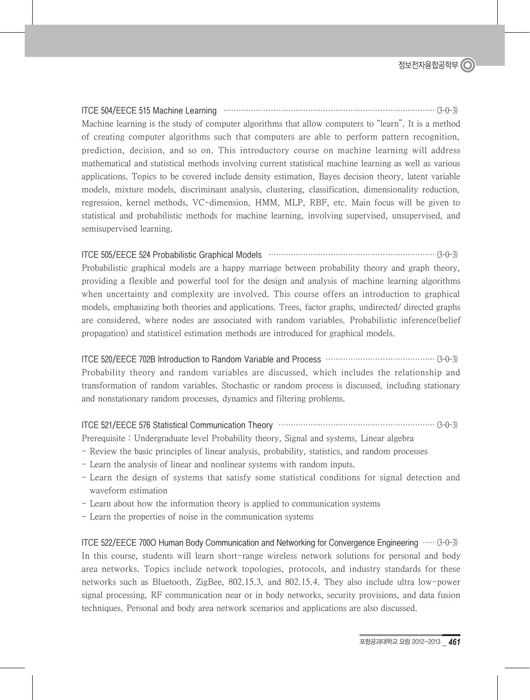ITCE 504/EECE 515 Machine Learning ····················································································· (3-0-3) Machine learning is the study of computer algorithms that allow computers to "learn". It is a method of creating computer algorithms such that computers are able to perform pattern recognition, prediction, decision, and so on. This introductory course on machine learning will address mathematical and statistical methods involving current statistical machine learning as well as various applications. Topics to be covered include density estimation, Bayes decision theory, latent variable models, mixture models, discriminant analysis, clustering, classification, dimensionality reduction, regression, kernel methods, VC-dimension, HMM, MLP, RBF, etc. Main focus will be given to statistical and probabilistic methods for machine learning, involving supervised, unsupervised, and semisupervised learning.

#### ITCE 505/EECE 524 Probabilistic Graphical Models ··································································· (3-0-3)

Probabilistic graphical models are a happy marriage between probability theory and graph theory, providing a flexible and powerful tool for the design and analysis of machine learning algorithms when uncertainty and complexity are involved. This course offers an introduction to graphical models, emphasizing both theories and applications. Trees, factor graphs, undirected/ directed graphs are considered, where nodes are associated with random variables. Probabilistic inference(belief propagation) and statisticel estimation methods are introduced for graphical models.

ITCE 520/EECE 702B Introduction to Random Variable and Process ············································ (3-0-3) Probability theory and random variables are discussed, which includes the relationship and transformation of random variables. Stochastic or random process is discussed, including stationary and nonstationary random processes, dynamics and filtering problems.

ITCE 521/EECE 576 Statistical Communication Theory ······························································· (3-0-3)

Prerequisite : Undergraduate level Probability theory, Signal and systems, Linear algebra

- Review the basic principles of linear analysis, probability, statistics, and random processes
- Learn the analysis of linear and nonlinear systems with random inputs.
- Learn the design of systems that satisfy some statistical conditions for signal detection and waveform estimation
- Learn about how the information theory is applied to communication systems
- Learn the properties of noise in the communication systems

ITCE 522/EECE 700O Human Body Communication and Networking for Convergence Engineering ····· (3-0-3) In this course, students will learn short-range wireless network solutions for personal and body area networks. Topics include network topologies, protocols, and industry standards for these networks such as Bluetooth, ZigBee, 802.15.3, and 802.15.4. They also include ultra low-power signal processing, RF communication near or in body networks, security provisions, and data fusion techniques. Personal and body area network scenarios and applications are also discussed.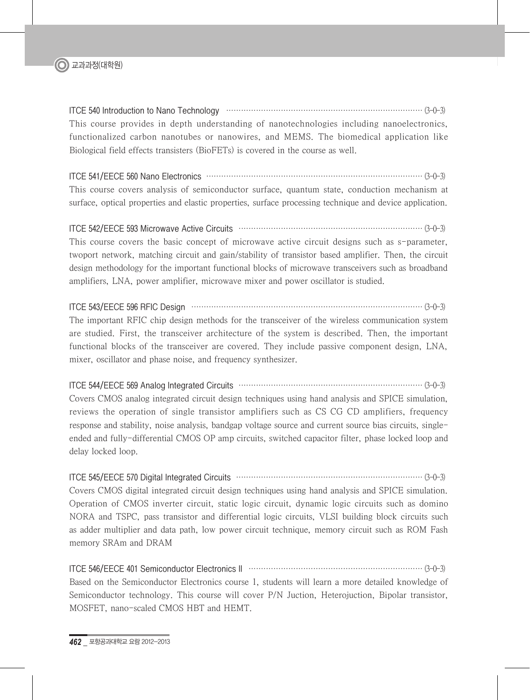

ITCE 540 Introduction to Nano Technology ··············································································· (3-0-3) This course provides in depth understanding of nanotechnologies including nanoelectronics, functionalized carbon nanotubes or nanowires, and MEMS. The biomedical application like Biological field effects transisters (BioFETs) is covered in the course as well.

ITCE 541/EECE 560 Nano Electronics ······················································································· (3-0-3) This course covers analysis of semiconductor surface, quantum state, conduction mechanism at surface, optical properties and elastic properties, surface processing technique and device application.

ITCE 542/EECE 593 Microwave Active Circuits ·········································································· (3-0-3) This course covers the basic concept of microwave active circuit designs such as s-parameter, twoport network, matching circuit and gain/stability of transistor based amplifier. Then, the circuit design methodology for the important functional blocks of microwave transceivers such as broadband amplifiers, LNA, power amplifier, microwave mixer and power oscillator is studied.

ITCE 543/EECE 596 RFIC Design ····························································································· (3-0-3) The important RFIC chip design methods for the transceiver of the wireless communication system are studied. First, the transceiver architecture of the system is described. Then, the important functional blocks of the transceiver are covered. They include passive component design, LNA, mixer, oscillator and phase noise, and frequency synthesizer.

ITCE 544/EECE 569 Analog Integrated Circuits ·········································································· (3-0-3)

Covers CMOS analog integrated circuit design techniques using hand analysis and SPICE simulation, reviews the operation of single transistor amplifiers such as CS CG CD amplifiers, frequency response and stability, noise analysis, bandgap voltage source and current source bias circuits, singleended and fully-differential CMOS OP amp circuits, switched capacitor filter, phase locked loop and delay locked loop.

ITCE 545/EECE 570 Digital Integrated Circuits ··········································································· (3-0-3)

Covers CMOS digital integrated circuit design techniques using hand analysis and SPICE simulation. Operation of CMOS inverter circuit, static logic circuit, dynamic logic circuits such as domino NORA and TSPC, pass transistor and differential logic circuits, VLSI building block circuits such as adder multiplier and data path, low power circuit technique, memory circuit such as ROM Fash memory SRAm and DRAM

ITCE 546/EECE 401 Semiconductor Electronics II ······································································ (3-0-3) Based on the Semiconductor Electronics course 1, students will learn a more detailed knowledge of Semiconductor technology. This course will cover P/N Juction, Heterojuction, Bipolar transistor, MOSFET, nano-scaled CMOS HBT and HEMT.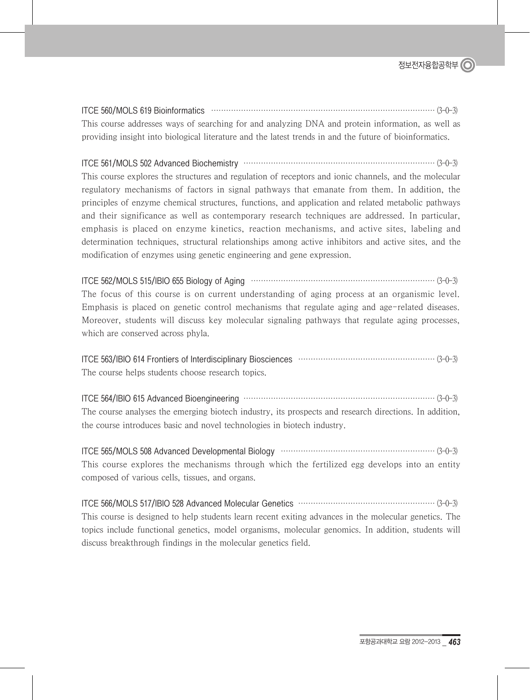ITCE 560/MOLS 619 Bioinformatics ·························································································· (3-0-3) This course addresses ways of searching for and analyzing DNA and protein information, as well as providing insight into biological literature and the latest trends in and the future of bioinformatics.

ITCE 561/MOLS 502 Advanced Biochemistry ············································································· (3-0-3) This course explores the structures and regulation of receptors and ionic channels, and the molecular regulatory mechanisms of factors in signal pathways that emanate from them. In addition, the principles of enzyme chemical structures, functions, and application and related metabolic pathways and their significance as well as contemporary research techniques are addressed. In particular, emphasis is placed on enzyme kinetics, reaction mechanisms, and active sites, labeling and determination techniques, structural relationships among active inhibitors and active sites, and the

ITCE 562/MOLS 515/IBIO 655 Biology of Aging ·········································································· (3-0-3) The focus of this course is on current understanding of aging process at an organismic level. Emphasis is placed on genetic control mechanisms that regulate aging and age-related diseases. Moreover, students will discuss key molecular signaling pathways that regulate aging processes, which are conserved across phyla.

modification of enzymes using genetic engineering and gene expression.

ITCE 563/IBIO 614 Frontiers of Interdisciplinary Biosciences ······················································· (3-0-3) The course helps students choose research topics.

ITCE 564/IBIO 615 Advanced Bioengineering ············································································· (3-0-3) The course analyses the emerging biotech industry, its prospects and research directions. In addition, the course introduces basic and novel technologies in biotech industry.

ITCE 565/MOLS 508 Advanced Developmental Biology ······························································ (3-0-3) This course explores the mechanisms through which the fertilized egg develops into an entity composed of various cells, tissues, and organs.

ITCE 566/MOLS 517/IBIO 528 Advanced Molecular Genetics ······················································· (3-0-3) This course is designed to help students learn recent exiting advances in the molecular genetics. The topics include functional genetics, model organisms, molecular genomics. In addition, students will discuss breakthrough findings in the molecular genetics field.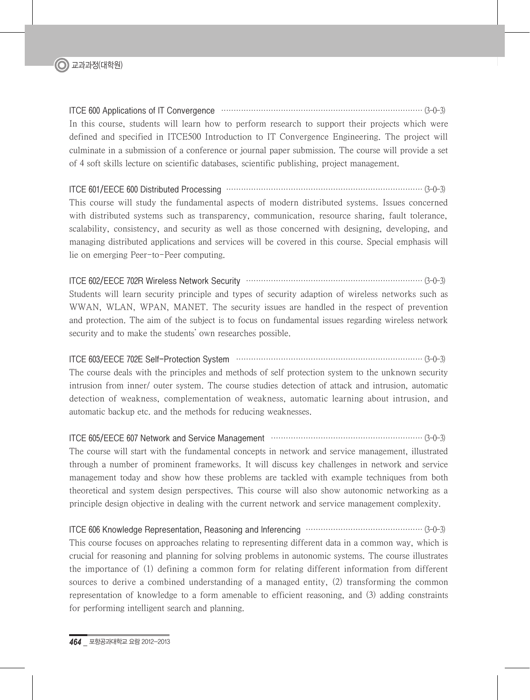

ITCE 600 Applications of IT Convergence ················································································· (3-0-3) In this course, students will learn how to perform research to support their projects which were defined and specified in ITCE500 Introduction to IT Convergence Engineering. The project will culminate in a submission of a conference or journal paper submission. The course will provide a set of 4 soft skills lecture on scientific databases, scientific publishing, project management.

ITCE 601/EECE 600 Distributed Processing ··············································································· (3-0-3) This course will study the fundamental aspects of modern distributed systems. Issues concerned with distributed systems such as transparency, communication, resource sharing, fault tolerance, scalability, consistency, and security as well as those concerned with designing, developing, and managing distributed applications and services will be covered in this course. Special emphasis will lie on emerging Peer-to-Peer computing.

ITCE 602/EECE 702R Wireless Network Security ······································································· (3-0-3) Students will learn security principle and types of security adaption of wireless networks such as WWAN, WLAN, WPAN, MANET. The security issues are handled in the respect of prevention and protection. The aim of the subject is to focus on fundamental issues regarding wireless network security and to make the students' own researches possible.

ITCE 603/EECE 702E Self-Protection System ··········································································· (3-0-3)

The course deals with the principles and methods of self protection system to the unknown security intrusion from inner/ outer system. The course studies detection of attack and intrusion, automatic detection of weakness, complementation of weakness, automatic learning about intrusion, and automatic backup etc. and the methods for reducing weaknesses.

ITCE 605/EECE 607 Network and Service Management ····························································· (3-0-3) The course will start with the fundamental concepts in network and service management, illustrated through a number of prominent frameworks. It will discuss key challenges in network and service management today and show how these problems are tackled with example techniques from both theoretical and system design perspectives. This course will also show autonomic networking as a principle design objective in dealing with the current network and service management complexity.

ITCE 606 Knowledge Representation, Reasoning and Inferencing ··············································· (3-0-3) This course focuses on approaches relating to representing different data in a common way, which is crucial for reasoning and planning for solving problems in autonomic systems. The course illustrates the importance of (1) defining a common form for relating different information from different sources to derive a combined understanding of a managed entity, (2) transforming the common representation of knowledge to a form amenable to efficient reasoning, and (3) adding constraints for performing intelligent search and planning.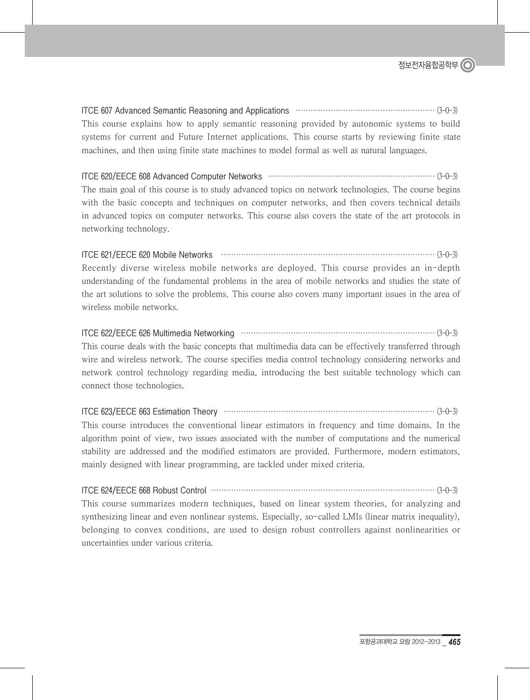ITCE 607 Advanced Semantic Reasoning and Applications ························································ (3-0-3) This course explains how to apply semantic reasoning provided by autonomic systems to build systems for current and Future Internet applications. This course starts by reviewing finite state machines, and then using finite state machines to model formal as well as natural languages.

ITCE 620/EECE 608 Advanced Computer Networks ··································································· (3-0-3) The main goal of this course is to study advanced topics on network technologies. The course begins with the basic concepts and techniques on computer networks, and then covers technical details in advanced topics on computer networks. This course also covers the state of the art protocols in networking technology.

#### ITCE 621/EECE 620 Mobile Networks ······················································································ (3-0-3)

Recently diverse wireless mobile networks are deployed. This course provides an in-depth understanding of the fundamental problems in the area of mobile networks and studies the state of the art solutions to solve the problems. This course also covers many important issues in the area of wireless mobile networks.

#### ITCE 622/EECE 626 Multimedia Networking ·············································································· (3-0-3)

This course deals with the basic concepts that multimedia data can be effectively transferred through wire and wireless network. The course specifies media control technology considering networks and network control technology regarding media, introducing the best suitable technology which can connect those technologies.

#### ITCE 623/EECE 663 Estimation Theory ····················································································· (3-0-3)

This course introduces the conventional linear estimators in frequency and time domains. In the algorithm point of view, two issues associated with the number of computations and the numerical stability are addressed and the modified estimators are provided. Furthermore, modern estimators, mainly designed with linear programming, are tackled under mixed criteria.

ITCE 624/EECE 668 Robust Control ·························································································· (3-0-3)

This course summarizes modern techniques, based on linear system theories, for analyzing and synthesizing linear and even nonlinear systems. Especially, so-called LMIs (linear matrix inequality), belonging to convex conditions, are used to design robust controllers against nonlinearities or uncertainties under various criteria.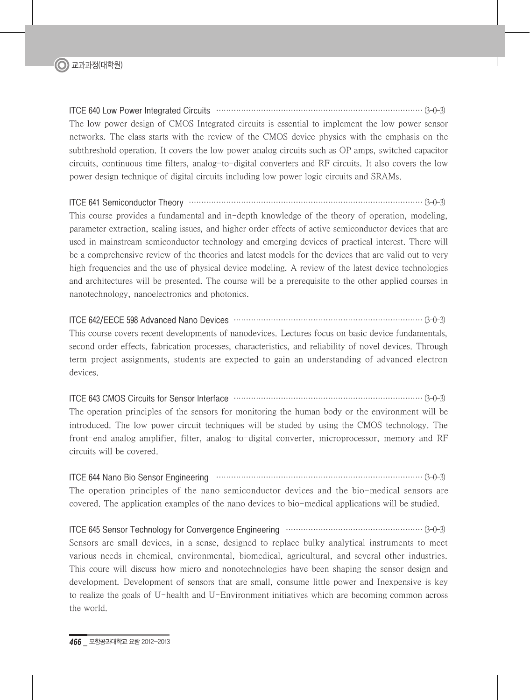

ITCE 640 Low Power Integrated Circuits ··················································································· (3-0-3) The low power design of CMOS Integrated circuits is essential to implement the low power sensor networks. The class starts with the review of the CMOS device physics with the emphasis on the subthreshold operation. It covers the low power analog circuits such as OP amps, switched capacitor circuits, continuous time filters, analog-to-digital converters and RF circuits. It also covers the low power design technique of digital circuits including low power logic circuits and SRAMs.

#### ITCE 641 Semiconductor Theory ······························································································ (3-0-3)

This course provides a fundamental and in-depth knowledge of the theory of operation, modeling, parameter extraction, scaling issues, and higher order effects of active semiconductor devices that are used in mainstream semiconductor technology and emerging devices of practical interest. There will be a comprehensive review of the theories and latest models for the devices that are valid out to very high frequencies and the use of physical device modeling. A review of the latest device technologies and architectures will be presented. The course will be a prerequisite to the other applied courses in nanotechnology, nanoelectronics and photonics.

#### ITCE 642/EECE 598 Advanced Nano Devices ············································································ (3-0-3)

This course covers recent developments of nanodevices. Lectures focus on basic device fundamentals, second order effects, fabrication processes, characteristics, and reliability of novel devices. Through term project assignments, students are expected to gain an understanding of advanced electron devices.

#### ITCE 643 CMOS Circuits for Sensor Interface ············································································ (3-0-3)

The operation principles of the sensors for monitoring the human body or the environment will be introduced. The low power circuit techniques will be studed by using the CMOS technology. The front-end analog amplifier, filter, analog-to-digital converter, microprocessor, memory and RF circuits will be covered.

#### ITCE 644 Nano Bio Sensor Engineering ··················································································· (3-0-3)

The operation principles of the nano semiconductor devices and the bio-medical sensors are covered. The application examples of the nano devices to bio-medical applications will be studied.

## ITCE 645 Sensor Technology for Convergence Engineering ······················································· (3-0-3)

Sensors are small devices, in a sense, designed to replace bulky analytical instruments to meet various needs in chemical, environmental, biomedical, agricultural, and several other industries. This coure will discuss how micro and nonotechnologies have been shaping the sensor design and development. Development of sensors that are small, consume little power and Inexpensive is key to realize the goals of U-health and U-Environment initiatives which are becoming common across the world.